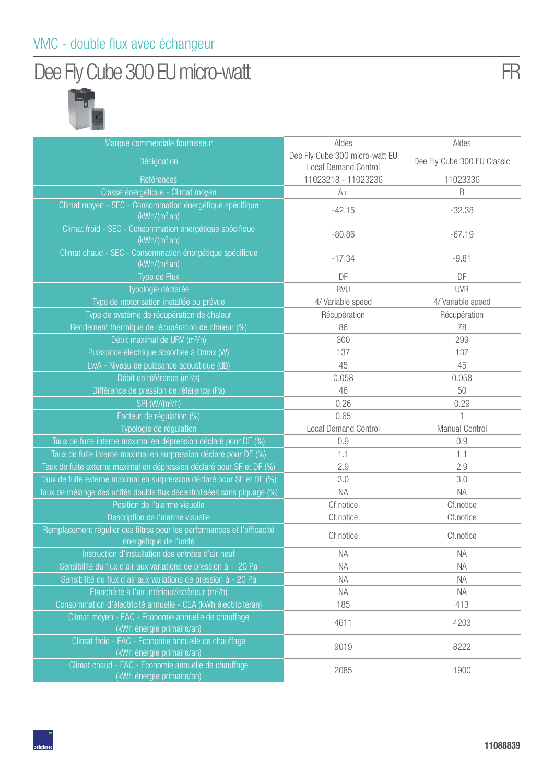#### VMC - double flux avec échangeur

## Dee Fly Cube 300 EU micro-watt



| Marque commerciale fournisseur                                                                    | Aldes                                                         | Aldes                       |
|---------------------------------------------------------------------------------------------------|---------------------------------------------------------------|-----------------------------|
| Désignation                                                                                       | Dee Fly Cube 300 micro-watt EU<br><b>Local Demand Control</b> | Dee Fly Cube 300 EU Classic |
| Références                                                                                        | 11023218 - 11023236                                           | 11023336                    |
| Classe énergétique - Climat moyen                                                                 | $A+$                                                          | B                           |
| Climat moyen - SEC - Consommation énergétique spécifique<br>(kWh/(m <sup>2</sup> an))             | $-42.15$                                                      | $-32.38$                    |
| Climat froid - SEC - Consommation énergétique spécifique<br>(kWh/(m <sup>2</sup> an))             | $-80.86$                                                      | $-67.19$                    |
| Climat chaud - SEC - Consommation énergétique spécifique<br>(kWh/(m <sup>2</sup> an))             | $-17.34$                                                      | $-9.81$                     |
| Type de Flux                                                                                      | DF                                                            | DF                          |
| Typologie déclarée                                                                                | <b>RVU</b>                                                    | <b>UVR</b>                  |
| Type de motorisation installée ou prévue                                                          | 4/ Variable speed                                             | 4/ Variable speed           |
| Type de système de récupération de chaleur                                                        | Récupération                                                  | Récupération                |
| Rendement thermique de récupération de chaleur (%)                                                | 86                                                            | 78                          |
| Débit maximal de URV (m <sup>3</sup> /h)                                                          | 300                                                           | 299                         |
| Puissance électrique absorbée à Qmax (W)                                                          | 137                                                           | 137                         |
| LwA - Niveau de puissance acoustique (dB)                                                         | 45                                                            | 45                          |
| Débit de référence (m <sup>3</sup> /s)                                                            | 0.058                                                         | 0.058                       |
| Différence de pression de référence (Pa)                                                          | 46                                                            | 50                          |
| $SPI (W/(m^3/h))$                                                                                 | 0.26                                                          | 0.29                        |
| Facteur de régulation (%)                                                                         | 0.65                                                          |                             |
| Typologie de régulation                                                                           | <b>Local Demand Control</b>                                   | Manual Control              |
| Taux de fuite interne maximal en dépression déclaré pour DF (%)                                   | 0.9                                                           | 0.9                         |
| Taux de fuite interne maximal en surpression déclaré pour DF (%)                                  | 1.1                                                           | 1.1                         |
| Taux de fuite externe maximal en dépression déclaré pour SF et DF (%)                             | 2.9                                                           | 2.9                         |
| Taux de fuite externe maximal en surpression déclaré pour SF et DF (%)                            | 3.0                                                           | 3.0                         |
| Taux de mélange des unités double flux décentralisées sans piquage (%)                            | NA                                                            | <b>NA</b>                   |
| Position de l'alarme visuelle                                                                     | Cf.notice                                                     | Cf.notice                   |
| Description de l'alarme visuelle                                                                  | Cf.notice                                                     | Cf.notice                   |
| Remplacement régulier des filtres pour les performances et l'efficacité<br>énergétique de l'unité | Cf.notice                                                     | Cf.notice                   |
| Instruction d'installation des entrées d'air neuf                                                 | NA                                                            | <b>NA</b>                   |
| Sensibilité du flux d'air aux variations de pression $\dot{a}$ + 20 Pa                            | NА                                                            | NA.                         |
| Sensibilité du flux d'air aux variations de pression à - 20 Pa                                    | <b>NA</b>                                                     | <b>NA</b>                   |
| Etanchéité à l'air intérieur/extérieur (m <sup>3</sup> /h)                                        | <b>NA</b>                                                     | <b>NA</b>                   |
| Consommation d'électricité annuelle - CEA (kWh électricité/an)                                    | 185                                                           | 413                         |
| Climat moyen - EAC - Economie annuelle de chauffage<br>(kWh énergie primaire/an)                  | 4611                                                          | 4203                        |
| Climat froid - EAC - Economie annuelle de chauffage<br>(kWh énergie primaire/an)                  | 9019                                                          | 8222                        |
| Climat chaud - EAC - Economie annuelle de chauffage<br>(kWh énergie primaire/an)                  | 2085                                                          | 1900                        |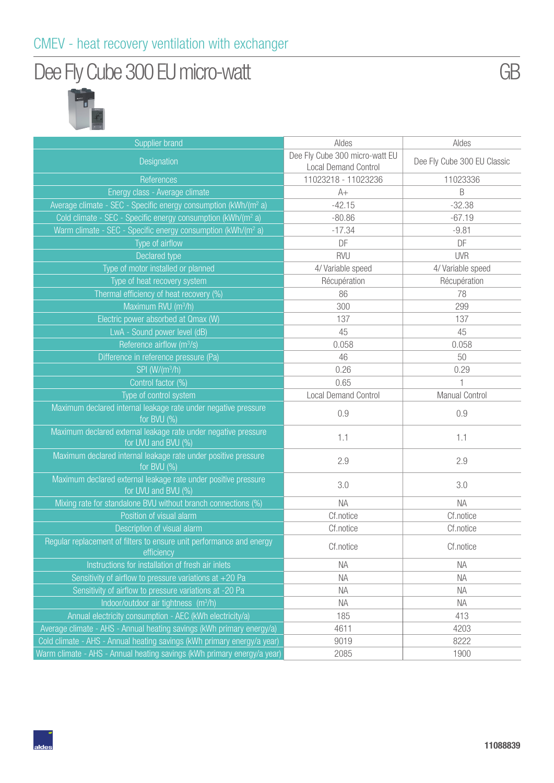## Dee Fly Cube 300 EU micro-watt



| <b>Supplier brand</b>                                                                                | Aldes                                                         | Aldes                       |
|------------------------------------------------------------------------------------------------------|---------------------------------------------------------------|-----------------------------|
| Designation                                                                                          | Dee Fly Cube 300 micro-watt EU<br><b>Local Demand Control</b> | Dee Fly Cube 300 EU Classic |
| References                                                                                           | 11023218 - 11023236                                           | 11023336                    |
| Energy class - Average climate                                                                       | $A+$                                                          | B                           |
| Average climate - SEC - Specific energy consumption (kWh/(m <sup>2</sup> a)                          | $-42.15$                                                      | $-32.38$                    |
| Cold climate - SEC - Specific energy consumption (kWh/(m <sup>2</sup> a)                             | $-80.86$                                                      | $-67.19$                    |
| Warm climate - SEC - Specific energy consumption (kWh/(m <sup>2</sup> a)                             | $-17.34$                                                      | $-9.81$                     |
| Type of airflow                                                                                      | DF                                                            | DF                          |
| Declared type                                                                                        | <b>RVU</b>                                                    | <b>UVR</b>                  |
| Type of motor installed or planned                                                                   | 4/ Variable speed                                             | 4/ Variable speed           |
| Type of heat recovery system                                                                         | Récupération                                                  | Récupération                |
| Thermal efficiency of heat recovery (%)                                                              | 86                                                            | 78                          |
| Maximum RVU (m <sup>3</sup> /h)                                                                      | 300                                                           | 299                         |
| Electric power absorbed at Qmax (W)                                                                  | 137                                                           | 137                         |
| LwA - Sound power level (dB)                                                                         | 45                                                            | 45                          |
| Reference airflow (m <sup>3</sup> /s)                                                                | 0.058                                                         | 0.058                       |
| Difference in reference pressure (Pa)                                                                | 46                                                            | 50                          |
| SPI (W/(m <sup>3</sup> /h)                                                                           | 0.26                                                          | 0.29                        |
| Control factor (%)                                                                                   | 0.65                                                          |                             |
| Type of control system                                                                               | <b>Local Demand Control</b>                                   | Manual Control              |
| Maximum declared internal leakage rate under negative pressure<br>for BVU (%)                        | 0.9                                                           | 0.9                         |
| Maximum declared external leakage rate under negative pressure<br>for UVU and BVU (%)                | 1.1                                                           | 1.1                         |
| Maximum declared internal leakage rate under positive pressure<br>for BVU (%)                        | 2.9                                                           | 2.9                         |
| Maximum declared external leakage rate under positive pressure<br>for UVU and BVU (%)                | 3.0                                                           | 3.0                         |
| Mixing rate for standalone BVU without branch connections (%)                                        | <b>NA</b>                                                     | <b>NA</b>                   |
| Position of visual alarm                                                                             | Cf.notice                                                     | Cf.notice                   |
| Description of visual alarm                                                                          | Cf.notice                                                     | Cf.notice                   |
| Regular replacement of filters to ensure unit performance and energy<br><b>Example 10</b> efficiency | Cf.notice                                                     | Cf.notice                   |
| Instructions for installation of fresh air inlets                                                    | <b>NA</b>                                                     | <b>NA</b>                   |
| Sensitivity of airflow to pressure variations at $+20$ Pa                                            | <b>NA</b>                                                     | <b>NA</b>                   |
| Sensitivity of airflow to pressure variations at -20 Pa                                              | <b>NA</b>                                                     | <b>NA</b>                   |
| Indoor/outdoor air tightness (m <sup>3</sup> /h)                                                     | <b>NA</b>                                                     | <b>NA</b>                   |
| Annual electricity consumption - AEC (kWh electricity/a)                                             | 185                                                           | 413                         |
| Average climate - AHS - Annual heating savings (kWh primary energy/a)                                | 4611                                                          | 4203                        |
| Cold climate - AHS - Annual heating savings (kWh primary energy/a year)                              | 9019                                                          | 8222                        |
| Warm climate - AHS - Annual heating savings (kWh primary energy/a year)                              | 2085                                                          | 1900                        |

GB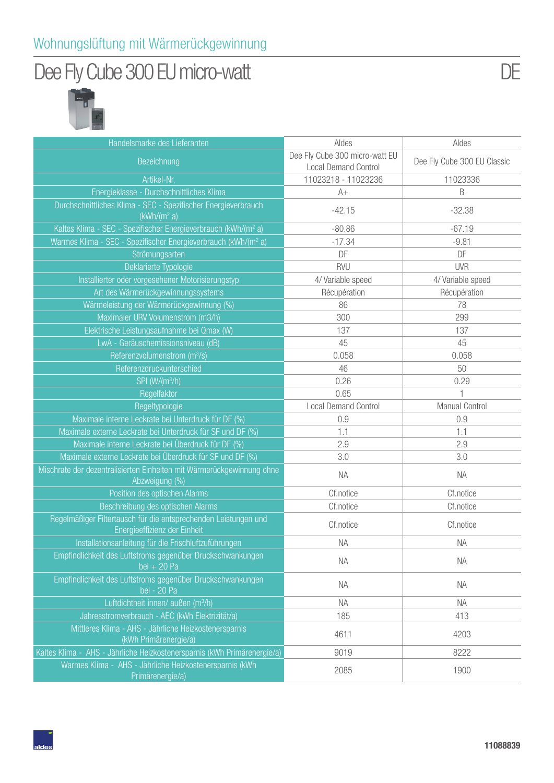## Dee Fly Cube 300 EU micro-watt



| Handelsmarke des Lieferanten                                                                    | Aldes                                                         | Aldes                       |
|-------------------------------------------------------------------------------------------------|---------------------------------------------------------------|-----------------------------|
| Bezeichnung                                                                                     | Dee Fly Cube 300 micro-watt EU<br><b>Local Demand Control</b> | Dee Fly Cube 300 EU Classic |
| Artikel-Nr.                                                                                     | 11023218 - 11023236                                           | 11023336                    |
| Energieklasse - Durchschnittliches Klima                                                        | $A+$                                                          | B                           |
| Durchschnittliches Klima - SEC - Spezifischer Energieverbrauch<br>(kWh/(m <sup>2</sup> a))      | $-42.15$                                                      | $-32.38$                    |
| Kaltes Klima - SEC - Spezifischer Energieverbrauch (kWh/(m <sup>2</sup> a)                      | $-80.86$                                                      | $-67.19$                    |
| Warmes Klima - SEC - Spezifischer Energieverbrauch (kWh/(m <sup>2</sup> a)                      | $-17.34$                                                      | $-9.81$                     |
| Strömungsarten                                                                                  | DF                                                            | DF                          |
| Deklarierte Typologie                                                                           | <b>RVU</b>                                                    | <b>UVR</b>                  |
| Installierter oder vorgesehener Motorisierungstyp                                               | 4/ Variable speed                                             | 4/ Variable speed           |
| Art des Wärmerückgewinnungssystems                                                              | Récupération                                                  | Récupération                |
| Wärmeleistung der Wärmerückgewinnung (%)                                                        | 86                                                            | 78                          |
| Maximaler URV Volumenstrom (m3/h)                                                               | 300                                                           | 299                         |
| Elektrische Leistungsaufnahme bei Qmax (W)                                                      | 137                                                           | 137                         |
| LwA - Geräuschemissionsniveau (dB)                                                              | 45                                                            | 45                          |
| Referenzvolumenstrom (m <sup>3</sup> /s)                                                        | 0.058                                                         | 0.058                       |
| Referenzdruckunterschied                                                                        | 46                                                            | 50                          |
| SPI (W/(m <sup>3</sup> /h)                                                                      | 0.26                                                          | 0.29                        |
| Regelfaktor                                                                                     | 0.65                                                          | 1                           |
| Regeltypologie                                                                                  | <b>Local Demand Control</b>                                   | Manual Control              |
| Maximale interne Leckrate bei Unterdruck für DF (%)                                             | 0.9                                                           | 0.9                         |
| Maximale externe Leckrate bei Unterdruck für SF und DF (%)                                      | 1.1                                                           | 1.1                         |
| Maximale interne Leckrate bei Überdruck für DF (%)                                              | 2.9                                                           | 2.9                         |
| Maximale externe Leckrate bei Überdruck für SF und DF (%)                                       | 3.0                                                           | 3.0                         |
| Mischrate der dezentralisierten Einheiten mit Wärmerückgewinnung ohne<br>Abzweigung (%)         | <b>NA</b>                                                     | <b>NA</b>                   |
| Position des optischen Alarms                                                                   | Cf.notice                                                     | Cf.notice                   |
| Beschreibung des optischen Alarms                                                               | Cf.notice                                                     | Cf.notice                   |
| Regelmäßiger Filtertausch für die entsprechenden Leistungen und<br>Energieeffizienz der Einheit | Cf.notice                                                     | Cf.notice                   |
| Installationsanleitung für die Frischluftzuführungen                                            | <b>NA</b>                                                     | <b>NA</b>                   |
| Empfindlichkeit des Luftstroms gegenüber Druckschwankungen<br>bei $+20$ Pa                      | <b>NA</b>                                                     | <b>NA</b>                   |
| Empfindlichkeit des Luftstroms gegenüber Druckschwankungen<br>bei - 20 Pa                       | <b>NA</b>                                                     | <b>NA</b>                   |
| Luftdichtheit innen/ außen (m <sup>3</sup> /h)                                                  | <b>NA</b>                                                     | <b>NA</b>                   |
| Jahresstromverbrauch - AEC (kWh Elektrizität/a)                                                 | 185                                                           | 413                         |
| Mittleres Klima - AHS - Jährliche Heizkostenersparnis<br>(kWh Primärenergie/a)                  | 4611                                                          | 4203                        |
| Kaltes Klima - AHS - Jährliche Heizkostenersparnis (kWh Primärenergie/a)                        | 9019                                                          | 8222                        |
| Warmes Klima - AHS - Jährliche Heizkostenersparnis (kWh<br>Primärenergie/a)                     | 2085                                                          | 1900                        |

DE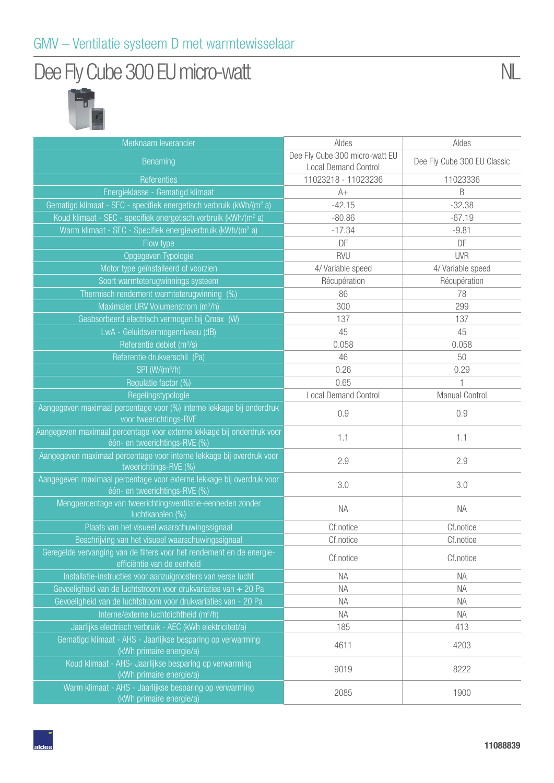## Dee Fly Cube 300 EU micro-watt



| Merknaam leverancier<br>Benaming                                                                        | Aldes<br>Dee Fly Cube 300 micro-watt EU | Aldes                       |
|---------------------------------------------------------------------------------------------------------|-----------------------------------------|-----------------------------|
|                                                                                                         |                                         |                             |
|                                                                                                         | <b>Local Demand Control</b>             | Dee Fly Cube 300 EU Classic |
| <b>Referenties</b>                                                                                      | 11023218 - 11023236                     | 11023336                    |
| Energieklasse - Gematigd klimaat                                                                        | $A+$                                    | B                           |
| Gematigd klimaat - SEC - specifiek energetisch verbruik (kWh/(m <sup>2</sup> a)                         | $-42.15$                                | $-32.38$                    |
| Koud klimaat - SEC - specifiek energetisch verbruik (kWh/(m <sup>2</sup> a)                             | $-80.86$                                | $-67.19$                    |
| Warm klimaat - SEC - Specifiek energieverbruik (kWh/(m <sup>2</sup> a)                                  | $-17.34$                                | $-9.81$                     |
| Flow type                                                                                               | DF                                      | DF                          |
| Opgegeven Typologie                                                                                     | <b>RVU</b>                              | <b>UVR</b>                  |
| Motor type geïnstalleerd of voorzien                                                                    | 4/ Variable speed                       | 4/ Variable speed           |
| Soort warmteterugwinnings systeem                                                                       | Récupération                            | Récupération                |
| Thermisch rendement warmteterugwinning (%)                                                              | 86                                      | 78                          |
| Maximaler URV Volumenstrom (m <sup>3</sup> /h)                                                          | 300                                     | 299                         |
| Geabsorbeerd electrisch vermogen bij Qmax (W)                                                           | 137                                     | 137                         |
| LwA - Geluidsvermogenniveau (dB)                                                                        | 45                                      | 45                          |
| Referentie debiet (m <sup>3</sup> /s)                                                                   | 0.058                                   | 0.058                       |
| Referentie drukverschil (Pa)                                                                            | 46                                      | 50                          |
| SPI (W/(m <sup>3</sup> /h)                                                                              | 0.26                                    | 0.29                        |
| Regulatie factor (%)                                                                                    | 0.65                                    |                             |
| Regelingstypologie                                                                                      | <b>Local Demand Control</b>             | Manual Control              |
| Aangegeven maximaal percentage voor (%) interne lekkage bij onderdruk<br>voor tweerichtings-RVE         | 0.9                                     | 0.9                         |
| Aangegeven maximaal percentage voor externe lekkage bij onderdruk voor<br>één- en tweerichtings-RVE (%) | 1.1                                     | 1.1                         |
| Aangegeven maximaal percentage voor interne lekkage bij overdruk voor<br>tweerichtings-RVE (%)          | 2.9                                     | 2.9                         |
| Aangegeven maximaal percentage voor externe lekkage bij overdruk voor<br>één- en tweerichtings-RVE (%)  | 3.0                                     | 3.0                         |
| Mengpercentage van tweerichtingsventilatie-eenheden zonder<br>luchtkanalen (%)                          | <b>NA</b>                               | <b>NA</b>                   |
| Plaats van het visueel waarschuwingssignaal                                                             | Cf.notice                               | Cf.notice                   |
| Beschrijving van het visueel waarschuwingssignaal                                                       | Cf.notice                               | Cf.notice                   |
| Geregelde vervanging van de filters voor het rendement en de energie-<br>efficiëntie van de eenheid     | Cf.notice                               | Cf.notice                   |
| Installatie-instructies voor aanzuigroosters van verse lucht                                            | ΝA                                      | <b>NA</b>                   |
| Gevoeligheid van de luchtstroom voor drukvariaties van $+20$ Pa                                         | ΝA                                      | <b>NA</b>                   |
| Gevoeligheid van de luchtstroom voor drukvariaties van - 20 Pa                                          | <b>NA</b>                               | <b>NA</b>                   |
| Interne/externe luchtdichtheid (m <sup>3</sup> /h)                                                      | <b>NA</b>                               | NA                          |
| Jaarlijks electrisch verbruik - AEC (kWh elektriciteit/a)                                               | 185                                     | 413                         |
| Gematigd klimaat - AHS - Jaarlijkse besparing op verwarming<br>(kWh primaire energie/a)                 | 4611                                    | 4203                        |
| Koud klimaat - AHS- Jaarlijkse besparing op verwarming<br>(kWh primaire energie/a)                      | 9019                                    | 8222                        |
| Warm klimaat - AHS - Jaarlijkse besparing op verwarming<br>(kWh primaire energie/a)                     | 2085                                    | 1900                        |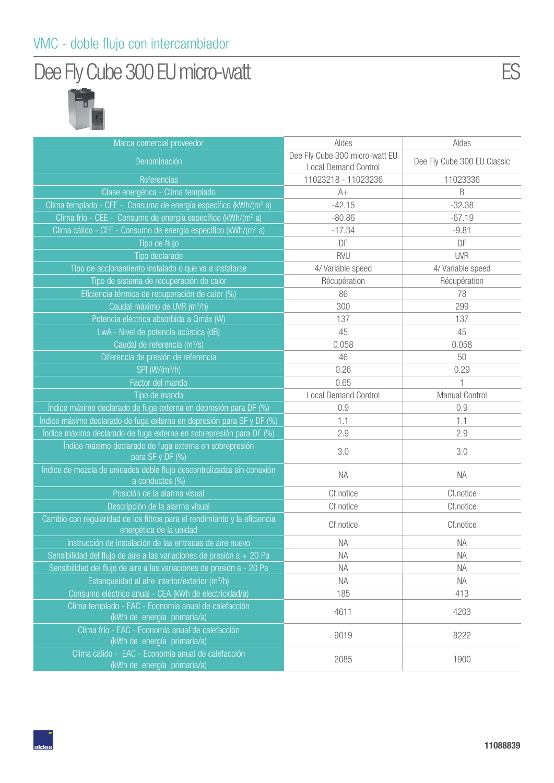#### VMC - doble flujo con intercambiador

## Dee Fly Cube 300 EU micro-watt



| Marca comercial proveedor                                                                            | Aldes                                                         | Aldes                       |
|------------------------------------------------------------------------------------------------------|---------------------------------------------------------------|-----------------------------|
| Denominación                                                                                         | Dee Fly Cube 300 micro-watt EU<br><b>Local Demand Control</b> | Dee Fly Cube 300 EU Classic |
| Referencias                                                                                          | 11023218 - 11023236                                           | 11023336                    |
| Clase energética - Clima templado                                                                    | $A+$                                                          | B                           |
| Clima templado - CEE - Consumo de energía específico (kWh/(m <sup>2</sup> a)                         | $-42.15$                                                      | $-32.38$                    |
| Clima frío - CEE - Consumo de energía específico (kWh/(m <sup>2</sup> a)                             | $-80.86$                                                      | $-67.19$                    |
| Clima cálido - CEE - Consumo de energía específico (kWh/(m <sup>2</sup> a)                           | $-17.34$                                                      | $-9.81$                     |
| Tipo de flujo                                                                                        | DF                                                            | DF                          |
| Tipo declarado                                                                                       | <b>RVU</b>                                                    | <b>UVR</b>                  |
| Tipo de accionamiento instalado o que va a instalarse                                                | 4/ Variable speed                                             | 4/ Variable speed           |
| Tipo de sistema de recuperación de calor                                                             | Récupération                                                  | Récupération                |
| Eficiencia térmica de recuperación de calor (%)                                                      | 86                                                            | 78                          |
| Caudal máximo de UVR (m <sup>3</sup> /h)                                                             | 300                                                           | 299                         |
| Potencia eléctrica absorbida a Qmáx (W)                                                              | 137                                                           | 137                         |
| LwA - Nivel de potencia acústica (dB)                                                                | 45                                                            | 45                          |
| Caudal de referencia (m <sup>3</sup> /s)                                                             | 0.058                                                         | 0.058                       |
| Diferencia de presión de referencia                                                                  | 46                                                            | 50                          |
| SPI (W/(m <sup>3</sup> /h)                                                                           | 0.26                                                          | 0.29                        |
| Factor del mando                                                                                     | 0.65                                                          | 1                           |
| Tipo de mando                                                                                        | <b>Local Demand Control</b>                                   | <b>Manual Control</b>       |
| Indice máximo declarado de fuga externa en depresión para DF (%)                                     | 0.9                                                           | 0.9                         |
| Índice máximo declarado de fuga externa en depresión para SF y DF (%)                                | 1.1                                                           | 1.1                         |
| Índice máximo declarado de fuga externa en sobrepresión para DF (%)                                  | 2.9                                                           | 2.9                         |
| Índice máximo declarado de fuga externa en sobrepresión<br>para SF y DF (%)                          | 3.0                                                           | 3.0                         |
| Índice de mezcla de unidades doble flujo descentralizadas sin conexión<br>a conductos (%)            | <b>NA</b>                                                     | <b>NA</b>                   |
| Posición de la alarma visual                                                                         | Cf.notice                                                     | Cf.notice                   |
| Descripción de la alarma visual                                                                      | Cf.notice                                                     | Cf.notice                   |
| Cambio con regularidad de los filtros para el rendimiento y la eficiencia<br>energética de la unidad | Cf.notice                                                     | Cf.notice                   |
| Instrucción de instalación de las entradas de aire nuevo                                             | <b>NA</b>                                                     | <b>NA</b>                   |
| Sensibilidad del flujo de aire a las variaciones de presión a + 20 Pa                                | ΝA                                                            | <b>NA</b>                   |
| Sensibilidad del flujo de aire a las variaciones de presión a - 20 Pa                                | <b>NA</b>                                                     | <b>NA</b>                   |
| Estanqueidad al aire interior/exterior (m <sup>3</sup> /h)                                           | <b>NA</b>                                                     | <b>NA</b>                   |
| Consumo eléctrico anual - CEA (kWh de electricidad/a)                                                | 185                                                           | 413                         |
| Clima templado - EAC - Economía anual de calefacción<br>(kWh de energía primaria/a)                  | 4611                                                          | 4203                        |
| Clima frío - EAC - Economía anual de calefacción<br>(kWh de energía primaria/a)                      | 9019                                                          | 8222                        |
| Clima cálido - EAC - Economía anual de calefacción<br>(kWh de energía primaria/a)                    | 2085                                                          | 1900                        |

**11088839**